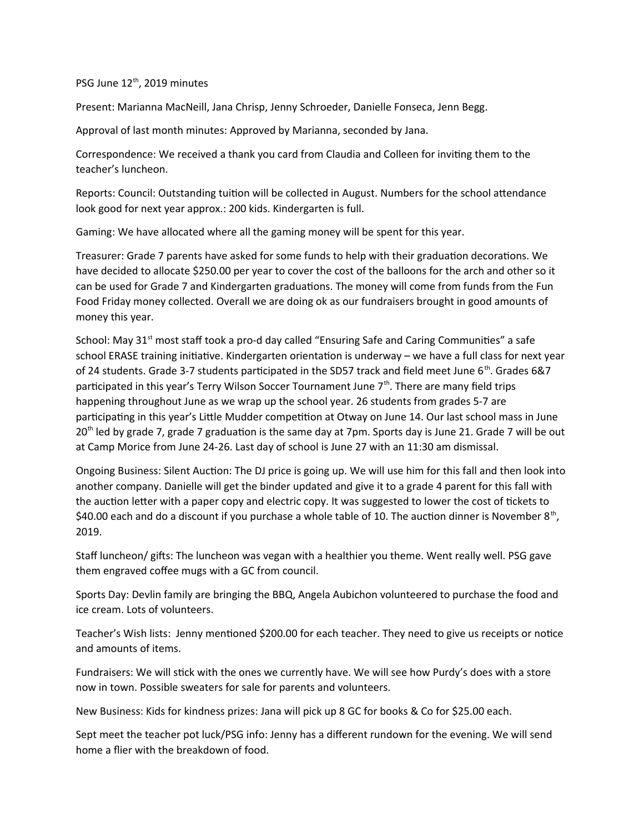PSG June 12<sup>th</sup>, 2019 minutes

Present: Marianna MacNeill, Jana Chrisp, Jenny Schroeder, Danielle Fonseca, Jenn Begg.

Approval of last month minutes: Approved by Marianna, seconded by Jana.

Correspondence: We received a thank you card from Claudia and Colleen for inviting them to the teacher's luncheon.

Reports: Council: Outstanding tuition will be collected in August. Numbers for the school attendance look good for next year approx.: 200 kids. Kindergarten is full.

Gaming: We have allocated where all the gaming money will be spent for this year.

Treasurer: Grade 7 parents have asked for some funds to help with their graduation decorations. We have decided to allocate \$250.00 per year to cover the cost of the balloons for the arch and other so it can be used for Grade 7 and Kindergarten graduations. The money will come from funds from the Fun Food Friday money collected. Overall we are doing ok as our fundraisers brought in good amounts of money this year.

School: May  $31<sup>st</sup>$  most staff took a pro-d day called "Ensuring Safe and Caring Communities" a safe school ERASE training initiative. Kindergarten orientation is underway – we have a full class for next year of 24 students. Grade 3-7 students participated in the SD57 track and field meet June  $6^{th}$ . Grades 6&7 participated in this year's Terry Wilson Soccer Tournament June  $7<sup>th</sup>$ . There are many field trips happening throughout June as we wrap up the school year. 26 students from grades 5-7 are participating in this year's Little Mudder competition at Otway on June 14. Our last school mass in June 20<sup>th</sup> led by grade 7, grade 7 graduation is the same day at 7pm. Sports day is June 21. Grade 7 will be out at Camp Morice from June 24-26. Last day of school is June 27 with an 11:30 am dismissal.

Ongoing Business: Silent Auction: The DJ price is going up. We will use him for this fall and then look into another company. Danielle will get the binder updated and give it to a grade 4 parent for this fall with the auction letter with a paper copy and electric copy. It was suggested to lower the cost of tickets to \$40.00 each and do a discount if you purchase a whole table of 10. The auction dinner is November  $8<sup>th</sup>$ , 2019.

Staff luncheon/ gifts: The luncheon was vegan with a healthier you theme. Went really well. PSG gave them engraved coffee mugs with a GC from council.

Sports Day: Devlin family are bringing the BBQ, Angela Aubichon volunteered to purchase the food and ice cream. Lots of volunteers.

Teacher's Wish lists: Jenny mentioned \$200.00 for each teacher. They need to give us receipts or notice and amounts of items.

Fundraisers: We will stick with the ones we currently have. We will see how Purdy's does with a store now in town. Possible sweaters for sale for parents and volunteers.

New Business: Kids for kindness prizes: Jana will pick up 8 GC for books & Co for \$25.00 each.

Sept meet the teacher pot luck/PSG info: Jenny has a different rundown for the evening. We will send home a flier with the breakdown of food.